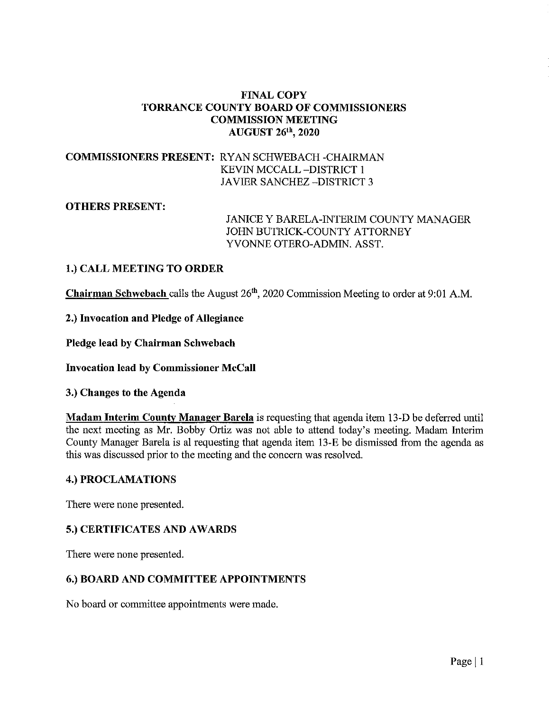# FINAL COPY TORRANCE COUNTY BOARD OF COMMISSIONERS COMMISSION MEETING AUGUST 26tl', 2020

# COMMISSIONERS PRESENT: RYAN SCHWEBACH -CHAIRMAN KEVIN MCCALL -DISTRICT 1 JAVIER SANCHEZ -DISTRICT 3

### OTHERS PRESENT:

# JANICE Y BARELA-INTERIM COUNTY MANAGER JOHN BUTRICK-COUNTY ATTORNEY YVONNE OTERO-ADMIN. ASST.

### 1.) CALL MEETING TO ORDER

**Chairman Schwebach** calls the August  $26<sup>th</sup>$ , 2020 Commission Meeting to order at 9:01 A.M.

2.) Invocation and Pledge of Allegiance

Pledge lead by Chairman Schwebach

Invocation lead by Commissioner McCall

3.) Changes to the Agenda

Madam Interim County Manager Barela is requesting that agenda item 13-D be deferred until the next meeting as Mr. Bobby Ortiz was not able to attend today's meeting. Madam Interim County Manager Barela is al requesting that agenda item 13-E be dismissed from the agenda as this was discussed prior to the meeting and the concern was resolved.

#### 4.) PROCLAMATIONS

There were none presented.

### 5.) CERTIFICATES AND AWARDS

There were none presented.

### 6.) BOARD AND COMMITTEE APPOINTMENTS

No board or committee appointments were made.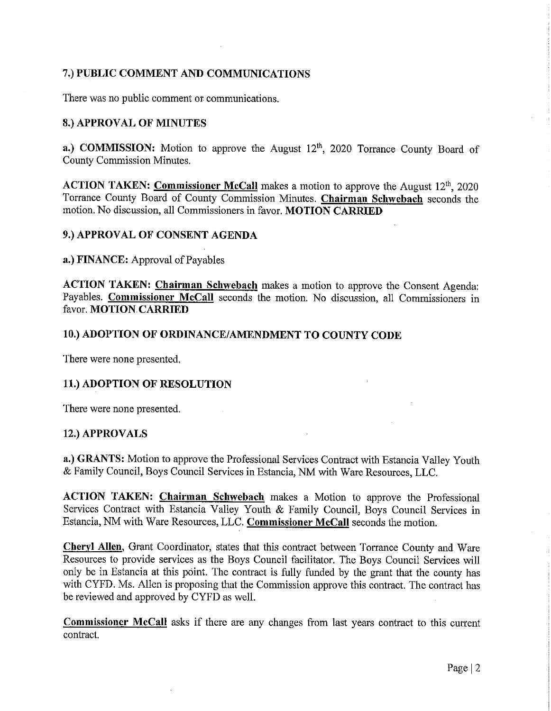# 7.) PUBLIC COMMENT AND COMMUNICATIONS

There was no public comment or communications.

# 8.) APPROVAL OF MINUTES

a.) COMMISSION: Motion to approve the August  $12<sup>th</sup>$ , 2020 Torrance County Board of County Commission Minutes.

ACTION TAKEN: Commissioner McCall makes a motion to approve the August  $12<sup>th</sup>$ , 2020 Torrance County Board of County Commission Minutes. Chairman Schwebach seconds the motion. No discussion, all Commissioners in favor. MOTION CARRIED

### 9.) APPROVAL OF CONSENT AGENDA

a.) FINANCE: Approval of Payables

ACTION TAKEN: Chairman Schwebach makes a motion to approve the Consent Agenda: Payables. Commissioner McCall seconds the motion. No discussion, all Commissioners in favor. MOTION CARRIED

# 10.) ADOPTION OF ORDINANCE/AMENDMENT TO COUNTY CODE

There were none presented.

### 11.) ADOPTION OF RESOLUTION

There were none presented.

### 12.) APPROVALS

a.) GRANTS: Motion to approve the Professional Services Contract with Estancia Valley Youth & Family Council, Boys Council Services in Estancia, NM with Ware Resources, LLC.

ACTION TAKEN: Chairman Schwebach makes a Motion to approve the Professional Services Contract with Estancia Valley Youth & Family Council, Boys Council Services in Estancia, NM with Ware Resources, LLC. Commissioner McCall seconds the motion.

Cheryl Allen, Grant Coordinator, states that this contract between Torrance County and Ware Resources to provide services as the Boys Council facilitator. The Boys Council Services will only be in Estancia at this point. The contract is fully funded by the grant that the county has with CYFD. Ms. Allen is proposing that the Commission approve this contract. The contract has be reviewed and approved by CYFD as well.

Commissioner McCall asks if there are any changes from last years contract to this current contract.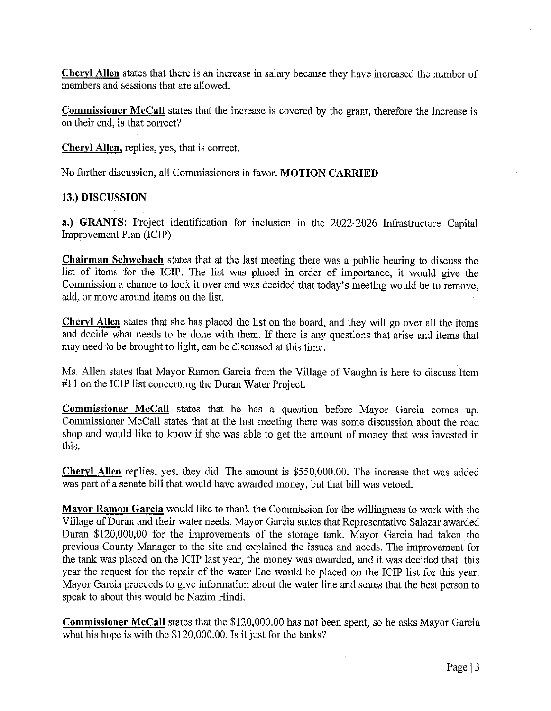Cheryl Allen states that there is an increase in salary because they have increased the number of members and sessions that are allowed.

Commissioner McCall states that the increase is covered by the grant, therefore the increase is on their end, is that correct?

Cheryl Allen, replies, yes, that is correct.

No further discussion, all Commissioners in favor. MOTION CARRIED

#### 13.) DISCUSSION

a.) GRANTS: Project identification for inclusion in the 2022-2026 Infrastructure Capital Improvement Plan (ICIP)

Chairman Schwebach states that at the last meeting there was a public hearing to discuss the list of items for the ICIP. The list was placed in order of importance, it would give the Commission a chance to look it over and was decided that today's meeting would be to remove, add, or move around items on the list.

Cheryl Allen states that she has placed the list on the board, and they will go over all the items and decide what needs to be done with them. If there is any questions that arise and items that may need to be brought to light, can be discussed at this time.

Ms. Allen states that Mayor Ramon Garcia from the Village of Vaughn is here to discuss Item #ll on the ICIP list concerning the Duran Water Project.

Commissioner McCall states that he has a question before Mayor Garcia comes up. Commissioner McCall states that at the last meeting there was some discussion about the road shop and would like to know if she was able to get the amount of money that was invested in this.

Cheryl Allen replies, yes, they did. The amount is \$550,000.00. The increase that was added was part of a senate bill that would have awarded money, but that bill was vetoed.

Mayor Ramon Garcia would like to thank the Commission for the willingness to work with the Village of Duran and their water needs. Mayor Garcia states that Representative Salazar awarded Duran \$120,000,00 for the improvements of the storage tank. Mayor Garcia had taken the previous County Manager to the site and explained the issues and needs. The improvement for the tank was placed on the ICIP last year, the money was awarded, and it was decided that this year the request for the repair of the water line would be placed on the ICIP list for this year. Mayor Garcia proceeds to give information about the water line and states that the best person to speak to about this would be Nazim Hindi.

Commissioner McCall states that the \$120,000.00 has not been spent, so he asks Mayor Garcia what his hope is with the \$120,000.00. Is it just for the tanks?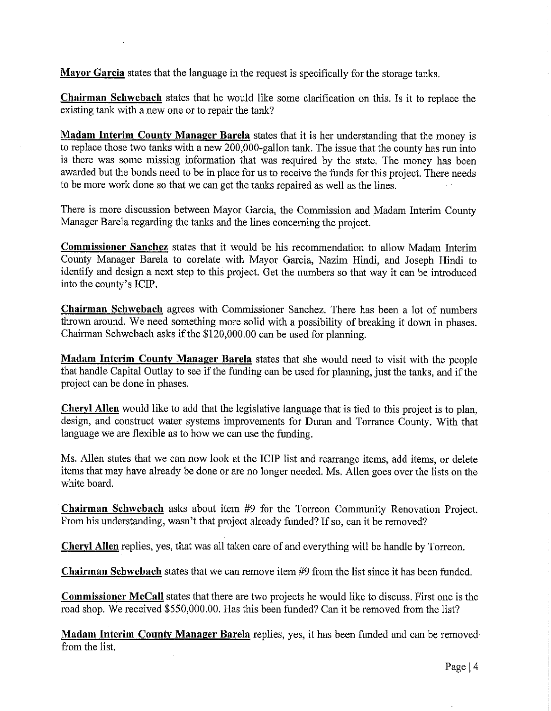Mayor Garcia states that the language in the request is specifically for the storage tanks.

Chairman Schwebach states that he would like some clarification on this. Is it to replace the existing tank with a new one or to repair the tank?

Madam Interim County Manager Barela states that it is her understanding that the money is to replace those two tanks with a new 200,000-gallon tank. The issue that the county has run into is there was some missing information that was required by the state. The money has been awarded but the bonds need to be in place for us to receive the funds for this project. There needs to be more work done so that we can get the tanks repaired as well as the lines.

There is more discussion between Mayor Garcia, the Commission and Madam Interim County Manager Barela regarding the tanks and the lines concerning the project.

Commissioner Sanchez states that it would be his recommendation to allow Madam Interim County Manager Barela to corelate with Mayor Garcia, Nazim Hindi, and Joseph Hindi to identify and design a next step to this project. Get the numbers so that way it can be introduced into the county's ICIP.

Chairman Schwebach agrees with Commissioner Sanchez. There has been a lot of numbers thrown around. We need something more solid with a possibility of breaking it down in phases. Chairman Schwebach asks if the \$120,000.00 can be used for planning.

Madam Interim County Manager Barela states that she would need to visit with the people that handle Capital Outlay to see if the funding can be used for planning, just the tanks, and if the project can be done in phases.

Cheryl Alien would like to add that the legislative language that is tied to this project is to plan, design, and construct water systems improvements for Duran and Torrance County. With that language we are flexible as to how we can use the funding.

Ms. Allen states that we can now look at the ICIP list and rearrange items, add items, or delete items that may have already be done or are no longer needed. Ms. Allen goes over the lists on the white board.

Chairman Schwebach asks about item #9 for the Torreon Community Renovation Project. From his understanding, wasn't that project already funded? If so, can it be removed?

Cheryl Allen replies, yes, that was all taken care of and everything will be handle by Torreon.

Chairman Schwebach states that we can remove item #9 from the list since it has been funded.

Commissioner McCall states that there are two projects he would like to discuss. First one is the road shop. We received \$550,000.00. Has this been funded? Can it be removed from the list?

Madam Interim County Manager Barela replies, yes, it has been funded and can be removed from the list.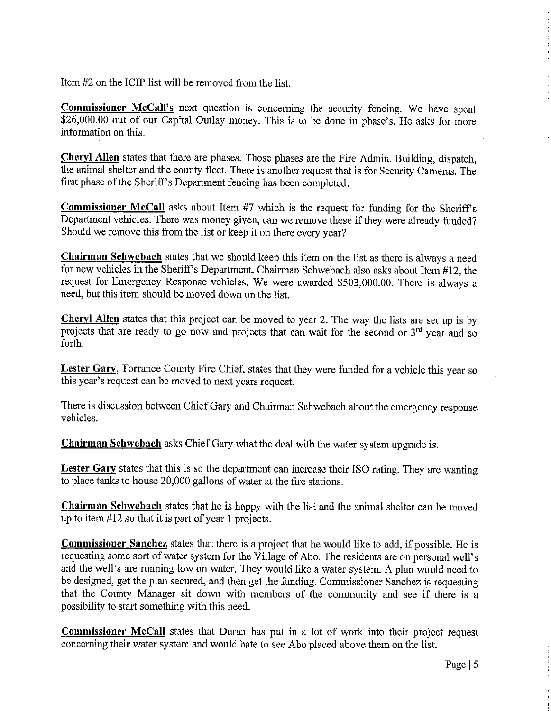Item #2 on the ICIP list will be removed from the list.

Commissioner McCall's next question is concerning the security fencing. We have spent \$26,000.00 out of our Capital Outlay money. This is to be done in phase's. He asks for more information on this.

Cheryl Allen states that there are phases. Those phases are the Fire Admin. Building, dispatch, the animal shelter and the county fleet. There is another request that is for Security Cameras. The first phase of the Sheriff's Department fencing has been completed.

Commissioner McCall asks about Item #7 which is the request for funding for the Sheriff's Department vehicles. There was money given, can we remove these if they were already funded? Should we remove this from the list or keep it on there every year?

Chairman Schwebach states that we should keep this item on the list as there is always a need for new vehicles in the Sheriff's Department. Chairman Schwebach also asks about Item #12, the request for Emergency Response vehicles. We were awarded \$503,000.00. There is always a need, but this item should be moved down on the list.

Cheryl Alien states that this project can be moved to year 2. The way the lists are set up is by projects that are ready to go now and projects that can wait for the second or 3<sup>rd</sup> year and so forth.

Lester Gary, Torrance County Fire Chief, states that they were funded for a vehicle this year so this year's request can be moved to next years request.

There is discussion between Chief Gary and Chairman Schwebach about the emergency response vehicles.

Chairman Schwebach asks Chief Gary what the deal with the water system upgrade is.

Lester Gary states that this is so the department can increase their ISO rating. They are wanting to place tanks to house 20,000 gallons of water at the fire stations.

Chairman Schwebach states that he is happy with the list and the animal shelter can be moved up to item #12 so that it is part of year 1 projects.

Commissioner Sanchez states that there is a project that he would like to add, if possible. He is requesting some sort of water system for the Village of Abo. The residents are on personal well's and the well's are running low on water. They would like a water system. A plan would need to be designed, get the plan secured, and then get the funding. Commissioner Sanchez is requesting that the County Manager sit down with members of the community and see if there is a possibility to start something with this need.

**Commissioner McCall** states that Duran has put in a lot of work into their project request concerning their water system and would hate to see Abo placed above them on the list.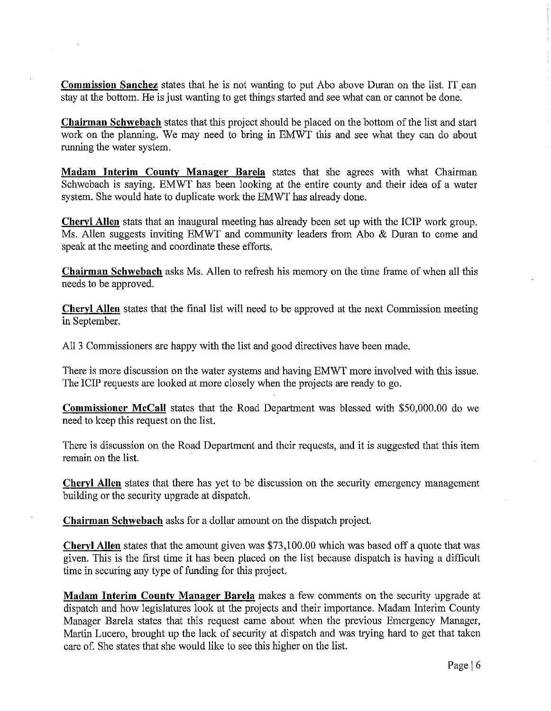Commission Sanchez states that he is not wanting to put Abo above Duran on the list. IT can stay at the bottom. He is just wanting to get things started and see what can or cannot be done.

Chairman Schwebach states that this project should be placed on the bottom of the list and start work on the planning. We may need to bring in EMWT this and see what they can do about running the water system.

Madam Interim County Manager Barela states that she agrees with what Chairman Schwebach is saying. EMWT has been looking at the entire county and their idea of a water system. She would hate to duplicate work the EMWT has already done.

Cheryl Allen stats that an inaugural meeting has already been set up with the ICIP work group. Ms. Allen suggests inviting EMWT and community leaders from Abo & Duran to come and speak at the meeting and coordinate these efforts.

Chairman Schwebach asks Ms. Allen to refresh his memory on the time frame of when all this needs to be approved.

Cheryl Allen states that the final list will need to be approved at the next Commission meeting in September.

All 3 Commissioners are happy with the list and good directives have been made.

There is more discussion on the water systems and having EMWT more involved with this issue. The ICIP requests are looked at more closely when the projects are ready to go.

Commissioner McCall states that the Road Department was blessed with \$50,000.00 do we need to keep this request on the list.

There is discussion on the Road Department and their requests, and it is suggested that this item remain on the list.

Cheryl Allen states that there has yet to be discussion on the security emergency management building or the security upgrade at dispatch.

Chairman Schwebach asks for a dollar amount on the dispatch project.

Cheryl Allen states that the amount given was \$73,100.00 which was based off a quote that was given. This is the first time it has been placed on the list because dispatch is having a difficult time in securing any type of funding for this project.

Madam Interim County Manager Barela makes a few comments on the security upgrade at dispatch and how legislatures look at the projects and their importance. Madam Interim County Manager Barela states that this request came about when the previous Emergency Manager, Martin Lucero, brought up the lack of security at dispatch and was trying hard to get that taken care of. She states that she would like to see this higher on the list.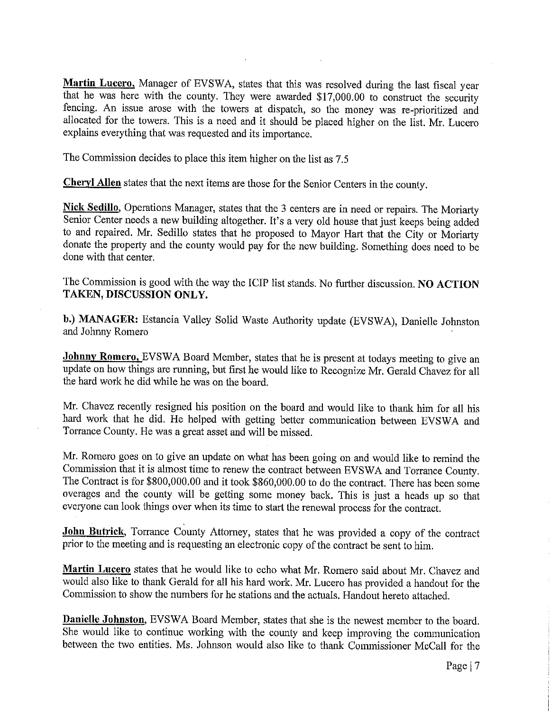Martin Lucero, Manager of EVSWA, states that this was resolved during the last fiscal year that he was here with the county. They were awarded \$17,000.00 to construct the security fencing. An issue arose with the towers at dispatch, so the money was re-prioritized and allocated for the towers. This is a need and it should be placed higher on the list. Mr. Lucero explains everything that was requested and its importance.

The Commission decides to place this item higher on the list as 7.5

Cheryl Allen states that the next items are those for the Senior Centers in the county.

Nick Sedillo, Operations Manager, states that the 3 centers are in need or repairs. The Moriarty Senior Center needs a new building altogether. It's a very old house that just keeps being added to and repaired. Mr. Sedillo states that he proposed to Mayor Hart that the City or Moriarty donate the property and the county would pay for the new building. Something does need to be done with that center.

The Commission is good with the way the ICIP list stands. No further discussion. NO ACTION TAKEN, DISCUSSION ONLY.

b.) MANAGER: Estancia Valley Solid Waste Authority update (EVSWA), Danielle Johnston and Johnny Romero

Johnny Romero, EVSWA Board Member, states that he is present at todays meeting to give an update on how things are running, but first he would like to Recognize Mr. Gerald Chavez for all the hard work he did while he was on the board.

Mr. Chavez recently resigned his position on the board and would like to thank him for all his hard work that he did. He helped with getting better communication between EVSWA and Torrance County. He was a great asset and will be missed.

Mr. Romero goes on to give an update on what has been going on and would like to remind the Commission that it is almost time to renew the contract between EVSWA and Torrance County. The Contract is for \$800,000.00 and it took \$860,000.00 to do the contract. There has been some overages and the county will be getting some money back. This is just a heads up so that everyone can look things over when its time to start the renewal process for the contract.

John Butrick, Torrance County Attorney, states that he was provided a copy of the contract prior to the meeting and is requesting an electronic copy of the contract be sent to him.

Martin Lucero states that he would like to echo what Mr. Romero said about Mr. Chavez and would also like to thank Gerald for all his hard work. Mr. Lucero has provided a handout for the Commission to show the numbers for he stations and the actuals. Handout hereto attached.

**Danielle Johnston, EVSWA Board Member, states that she is the newest member to the board.** She would like to continue working with the county and keep improving the communication between the two entities. Ms. Johnson would also like to thank Commissioner McCall for the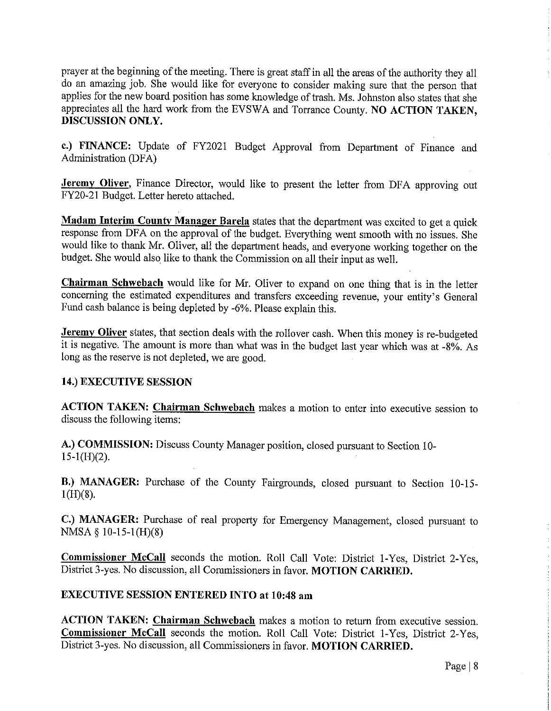prayer at the beginning of the meeting. There is great staff in all the areas of the authority they all do an amazing job. She would like for everyone to consider making sure that the person that applies for the new board position has some knowledge of trash. Ms. Johnston also states that she appreciates all the hard work from the EVSWA and Torrance County. NO ACTION TAKEN, DISCUSSION ONLY.

c.) FINANCE: Update of FY2021 Budget Approval from Department of Finance and Administration (DFA)

**Jeremy Oliver**, Finance Director, would like to present the letter from DFA approving out FY20-21 Budget. Letter hereto attached.

**Madam Interim County Manager Barela** states that the department was excited to get a quick response from DFA on the approval of the budget. Everything went smooth with no issues. She would like to thank Mr. Oliver, all the department heads, and everyone working together on the budget. She would also like to thank the Commission on all their input as well.

Chairman Schwebach would like for Mr. Oliver to expand on one thing that is in the letter concerning the estimated expenditures and transfers exceeding revenue, your entity's General Fund cash balance is being depleted by -6%. Please explain this.

**Jeremy Oliver** states, that section deals with the rollover cash. When this money is re-budgeted it is negative. The amount is more than what was in the budget last year which was at -8%. As long as the reserve is not depleted, we are good.

# 14.) EXECUTIVE SESSION

ACTION TAKEN: Chairman Schwebach makes a motion to enter into executive session to discuss the following items:

A.) COMMISSION: Discuss County Manager position, closed pursuant to Section 10-  $15-1(H)(2)$ .

B.) MANAGER: Purchase of the County Fairgrounds, closed pursuant to Section 10-15-  $1(H)(8)$ .

C.) MANAGER: Purchase of real property for Emergency Management, closed pursuant to NMSA § 10-15-1(H)(8)

Commissioner McCall seconds the motion. Roll Call Vote: District l-Yes, District 2-Yes, District 3-yes. No discussion, all Commissioners in favor. MOTION CARRIED.

### EXECUTIVE SESSION ENTERED INTO at 10:48 am

ACTION TAKEN: Chairman Schwebach makes a motion to return from executive session. Commissioner McCall seconds the motion. Roll Call Vote: District 1-Yes, District 2-Yes, District 3-yes. No discussion, all Commissioners in favor. MOTION CARRIED.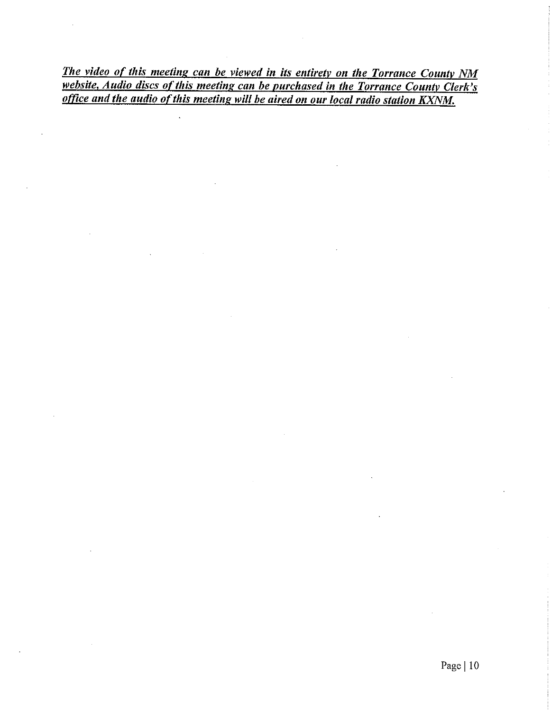The video of this meeting can be viewed in its entirety on the Torrance County NM website, Audio discs of this meeting can be purchased in the Torrance County Clerk's office and the audio of this meeting will be aired on our local radio station KXNM.